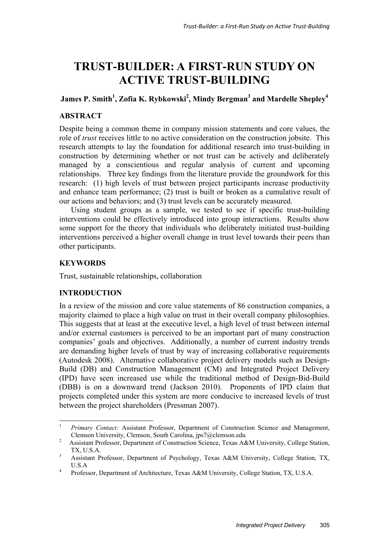# **TRUST-BUILDER: A FIRST-RUN STUDY ON ACTIVE TRUST-BUILDING**

# $James$  P. Smith<sup>1</sup>, Zofia K. Rybkowski<sup>2</sup>, Mindy Bergman<sup>3</sup> and Mardelle Shepley<sup>4</sup>

# **ABSTRACT**

Despite being a common theme in company mission statements and core values, the role of *trust* receives little to no active consideration on the construction jobsite. This research attempts to lay the foundation for additional research into trust-building in construction by determining whether or not trust can be actively and deliberately managed by a conscientious and regular analysis of current and upcoming relationships. Three key findings from the literature provide the groundwork for this research: (1) high levels of trust between project participants increase productivity and enhance team performance; (2) trust is built or broken as a cumulative result of our actions and behaviors; and (3) trust levels can be accurately measured.

Using student groups as a sample, we tested to see if specific trust-building interventions could be effectively introduced into group interactions. Results show some support for the theory that individuals who deliberately initiated trust-building interventions perceived a higher overall change in trust level towards their peers than other participants.

### **KEYWORDS**

Trust, sustainable relationships, collaboration

### **INTRODUCTION**

In a review of the mission and core value statements of 86 construction companies, a majority claimed to place a high value on trust in their overall company philosophies. This suggests that at least at the executive level, a high level of trust between internal and/or external customers is perceived to be an important part of many construction companies' goals and objectives. Additionally, a number of current industry trends are demanding higher levels of trust by way of increasing collaborative requirements (Autodesk 2008). Alternative collaborative project delivery models such as Design-Build (DB) and Construction Management (CM) and Integrated Project Delivery (IPD) have seen increased use while the traditional method of Design-Bid-Build (DBB) is on a downward trend (Jackson 2010). Proponents of IPD claim that projects completed under this system are more conducive to increased levels of trust between the project shareholders (Pressman 2007).

 $\mathbf{1}$ <sup>1</sup> *Primary Contact:* Assistant Professor, Department of Construction Science and Management, Clemson University, Clemson, South Carolina, jps7@clemson.edu<br><sup>2</sup> Assistant Professor, Denartment of Construction Science, Texas A&

Assistant Professor, Department of Construction Science, Texas A&M University, College Station, TX, U.S.A.

<sup>3</sup> Assistant Professor, Department of Psychology, Texas A&M University, College Station, TX,  $\frac{U.S.A}{v_{\text{orofes}}}$ 

Professor, Department of Architecture, Texas A&M University, College Station, TX, U.S.A.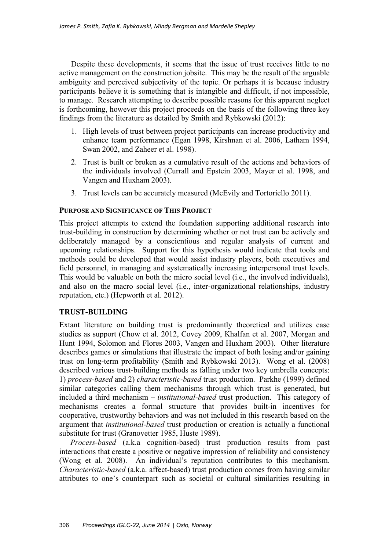Despite these developments, it seems that the issue of trust receives little to no active management on the construction jobsite. This may be the result of the arguable ambiguity and perceived subjectivity of the topic. Or perhaps it is because industry participants believe it is something that is intangible and difficult, if not impossible, to manage. Research attempting to describe possible reasons for this apparent neglect is forthcoming, however this project proceeds on the basis of the following three key findings from the literature as detailed by Smith and Rybkowski (2012):

- 1. High levels of trust between project participants can increase productivity and enhance team performance (Egan 1998, Kirshnan et al. 2006, Latham 1994, Swan 2002, and Zaheer et al. 1998).
- 2. Trust is built or broken as a cumulative result of the actions and behaviors of the individuals involved (Currall and Epstein 2003, Mayer et al. 1998, and Vangen and Huxham 2003).
- 3. Trust levels can be accurately measured (McEvily and Tortoriello 2011).

#### **PURPOSE AND SIGNIFICANCE OF THIS PROJECT**

This project attempts to extend the foundation supporting additional research into trust-building in construction by determining whether or not trust can be actively and deliberately managed by a conscientious and regular analysis of current and upcoming relationships. Support for this hypothesis would indicate that tools and methods could be developed that would assist industry players, both executives and field personnel, in managing and systematically increasing interpersonal trust levels. This would be valuable on both the micro social level (i.e., the involved individuals), and also on the macro social level (i.e., inter-organizational relationships, industry reputation, etc.) (Hepworth et al. 2012).

### **TRUST-BUILDING**

Extant literature on building trust is predominantly theoretical and utilizes case studies as support (Chow et al. 2012, Covey 2009, Khalfan et al. 2007, Morgan and Hunt 1994, Solomon and Flores 2003, Vangen and Huxham 2003). Other literature describes games or simulations that illustrate the impact of both losing and/or gaining trust on long-term profitability (Smith and Rybkowski 2013). Wong et al. (2008) described various trust-building methods as falling under two key umbrella concepts: 1) *process-based* and 2) *characteristic-based* trust production. Parkhe (1999) defined similar categories calling them mechanisms through which trust is generated, but included a third mechanism – *institutional-based* trust production. This category of mechanisms creates a formal structure that provides built-in incentives for cooperative, trustworthy behaviors and was not included in this research based on the argument that *institutional-based* trust production or creation is actually a functional substitute for trust (Granovetter 1985, Huste 1989).

*Process-based* (a.k.a cognition-based) trust production results from past interactions that create a positive or negative impression of reliability and consistency (Wong et al. 2008). An individual's reputation contributes to this mechanism. *Characteristic-based* (a.k.a. affect-based) trust production comes from having similar attributes to one's counterpart such as societal or cultural similarities resulting in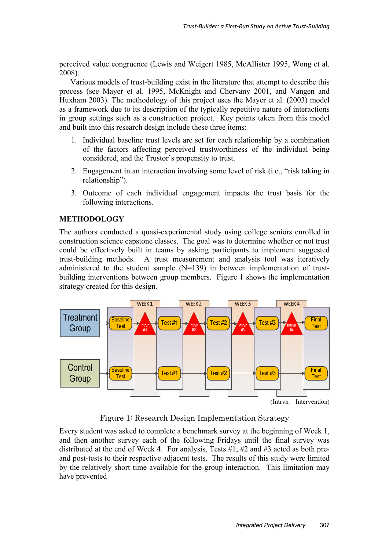perceived value congruence (Lewis and Weigert 1985, McAllister 1995, Wong et al. 2008).

Various models of trust-building exist in the literature that attempt to describe this process (see Mayer et al. 1995, McKnight and Chervany 2001, and Vangen and Huxham 2003). The methodology of this project uses the Mayer et al. (2003) model as a framework due to its description of the typically repetitive nature of interactions in group settings such as a construction project. Key points taken from this model and built into this research design include these three items:

- 1. Individual baseline trust levels are set for each relationship by a combination of the factors affecting perceived trustworthiness of the individual being considered, and the Trustor's propensity to trust.
- 2. Engagement in an interaction involving some level of risk (i.e., "risk taking in relationship").
- 3. Outcome of each individual engagement impacts the trust basis for the following interactions.

# **METHODOLOGY**

The authors conducted a quasi-experimental study using college seniors enrolled in construction science capstone classes. The goal was to determine whether or not trust could be effectively built in teams by asking participants to implement suggested trust-building methods. A trust measurement and analysis tool was iteratively administered to the student sample (N=139) in between implementation of trustbuilding interventions between group members. Figure 1 shows the implementation strategy created for this design.



Figure 1: Research Design Implementation Strategy

Every student was asked to complete a benchmark survey at the beginning of Week 1, and then another survey each of the following Fridays until the final survey was distributed at the end of Week 4. For analysis, Tests #1, #2 and #3 acted as both preand post-tests to their respective adjacent tests. The results of this study were limited by the relatively short time available for the group interaction. This limitation may have prevented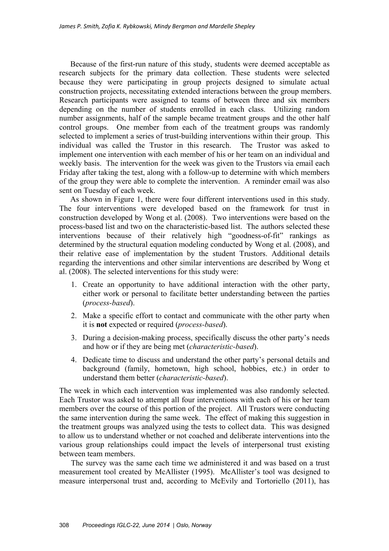Because of the first-run nature of this study, students were deemed acceptable as research subjects for the primary data collection. These students were selected because they were participating in group projects designed to simulate actual construction projects, necessitating extended interactions between the group members. Research participants were assigned to teams of between three and six members depending on the number of students enrolled in each class. Utilizing random number assignments, half of the sample became treatment groups and the other half control groups. One member from each of the treatment groups was randomly selected to implement a series of trust-building interventions within their group. This individual was called the Trustor in this research. The Trustor was asked to implement one intervention with each member of his or her team on an individual and weekly basis. The intervention for the week was given to the Trustors via email each Friday after taking the test, along with a follow-up to determine with which members of the group they were able to complete the intervention. A reminder email was also sent on Tuesday of each week.

As shown in Figure 1, there were four different interventions used in this study. The four interventions were developed based on the framework for trust in construction developed by Wong et al. (2008). Two interventions were based on the process-based list and two on the characteristic-based list. The authors selected these interventions because of their relatively high "goodness-of-fit" rankings as determined by the structural equation modeling conducted by Wong et al. (2008), and their relative ease of implementation by the student Trustors. Additional details regarding the interventions and other similar interventions are described by Wong et al. (2008). The selected interventions for this study were:

- 1. Create an opportunity to have additional interaction with the other party, either work or personal to facilitate better understanding between the parties (*process-based*).
- 2. Make a specific effort to contact and communicate with the other party when it is **not** expected or required (*process-based*).
- 3. During a decision-making process, specifically discuss the other party's needs and how or if they are being met (*characteristic-based*).
- 4. Dedicate time to discuss and understand the other party's personal details and background (family, hometown, high school, hobbies, etc.) in order to understand them better (*characteristic-based*).

The week in which each intervention was implemented was also randomly selected. Each Trustor was asked to attempt all four interventions with each of his or her team members over the course of this portion of the project. All Trustors were conducting the same intervention during the same week. The effect of making this suggestion in the treatment groups was analyzed using the tests to collect data. This was designed to allow us to understand whether or not coached and deliberate interventions into the various group relationships could impact the levels of interpersonal trust existing between team members.

The survey was the same each time we administered it and was based on a trust measurement tool created by McAllister (1995). McAllister's tool was designed to measure interpersonal trust and, according to McEvily and Tortoriello (2011), has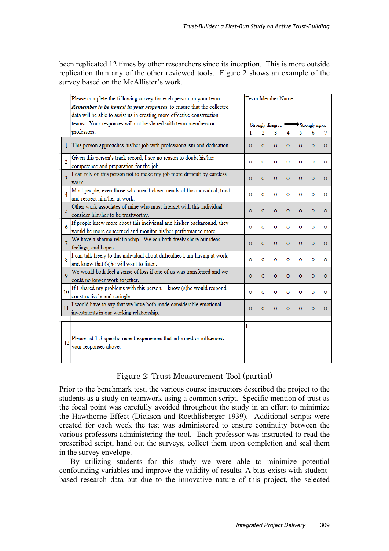been replicated 12 times by other researchers since its inception. This is more outside replication than any of the other reviewed tools. Figure 2 shows an example of the survey based on the McAllister's work.

| Please complete the following survey for each person on your team.                                                                             |                                     | Team Member Name |          |                |                |          |          |  |
|------------------------------------------------------------------------------------------------------------------------------------------------|-------------------------------------|------------------|----------|----------------|----------------|----------|----------|--|
| Remember to be honest in your responses to ensure that the collected<br>data will be able to assist us in creating more effective construction |                                     |                  |          |                |                |          |          |  |
| teams. Your responses will not be shared with team members or                                                                                  | Strongly disagree<br>Strongly agree |                  |          |                |                |          |          |  |
| professors.                                                                                                                                    | 1                                   | 2                | 3        | 4              | 5              | 6        | 7        |  |
| This person approaches his/her job with professionalism and dedication.<br>1.                                                                  | $\Omega$                            | $\Omega$         | $\Omega$ | $\Omega$       | $\Omega$       | $\Omega$ | $\circ$  |  |
| Given this person's track record, I see no reason to doubt his/her<br>$\overline{2}$<br>competence and preparation for the job.                | O                                   | $\circ$          | $\circ$  | O              | O              | O        | O        |  |
| I can rely on this person not to make my job more difficult by careless<br>3<br>work.                                                          | $\circ$                             | $\Omega$         | $\Omega$ | $\circ$        | $\circ$        | $\circ$  | $\Omega$ |  |
| Most people, even those who aren't close friends of this individual, trust<br>4<br>and respect him/her at work.                                | $\Omega$                            | $\Omega$         | $\Omega$ | $\Omega$       | $\Omega$       | Ō        | O        |  |
| Other work associates of mine who must interact with this individual<br>5<br>consider him/her to be trustworthy.                               | $\Omega$                            | $\Omega$         | $\Omega$ | $\circ$        | $\circ$        | $\Omega$ | $\Omega$ |  |
| If people knew more about this individual and his/her background, they<br>6<br>would be more concerned and monitor his/her performance more    | O                                   | $\circ$          | $\circ$  | $\circ$        | $\circ$        | O        | O        |  |
| We have a sharing relationship. We can both freely share our ideas,<br>feelings, and hopes.                                                    | $\circ$                             | $\circ$          | $\circ$  | $\circ$        | $\circ$        | $\circ$  | $\circ$  |  |
| I can talk freely to this individual about difficulties I am having at work<br>8<br>and know that (s)he will want to listen.                   | $\circ$                             | $\Omega$         | $\circ$  | $\circ$        | $\circ$        | O        | O        |  |
| We would both feel a sense of loss if one of us was transferred and we<br>Q<br>could no longer work together.                                  | $\circ$                             | $\circ$          | $\circ$  | $\overline{O}$ | $\overline{O}$ | $\circ$  | $\circ$  |  |
| If I shared my problems with this person, I know (s)he would respond<br>10<br>constructively and caringly.                                     | $\circ$                             | $\circ$          | $\circ$  | O              | $\circ$        | $\circ$  | $\circ$  |  |
| I would have to say that we have both made considerable emotional<br>11<br>investments in our working relationship.                            | $\circ$                             | $\Omega$         | $\Omega$ | $\circ$        | $\circ$        | $\Omega$ | $\Omega$ |  |
| Please list 1-3 specific recent experiences that informed or influenced<br>12<br>your responses above.                                         | 1                                   |                  |          |                |                |          |          |  |

# Figure 2: Trust Measurement Tool (partial)

Prior to the benchmark test, the various course instructors described the project to the students as a study on teamwork using a common script. Specific mention of trust as the focal point was carefully avoided throughout the study in an effort to minimize the Hawthorne Effect (Dickson and Roethlisberger 1939). Additional scripts were created for each week the test was administered to ensure continuity between the various professors administering the tool. Each professor was instructed to read the prescribed script, hand out the surveys, collect them upon completion and seal them in the survey envelope.

By utilizing students for this study we were able to minimize potential confounding variables and improve the validity of results. A bias exists with studentbased research data but due to the innovative nature of this project, the selected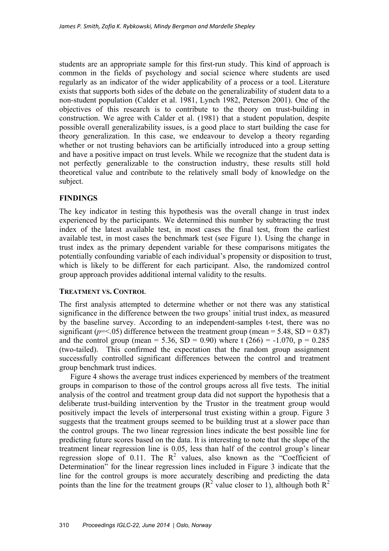students are an appropriate sample for this first-run study. This kind of approach is common in the fields of psychology and social science where students are used regularly as an indicator of the wider applicability of a process or a tool. Literature exists that supports both sides of the debate on the generalizability of student data to a non-student population (Calder et al. 1981, Lynch 1982, Peterson 2001). One of the objectives of this research is to contribute to the theory on trust-building in construction. We agree with Calder et al. (1981) that a student population, despite possible overall generalizability issues, is a good place to start building the case for theory generalization. In this case, we endeavour to develop a theory regarding whether or not trusting behaviors can be artificially introduced into a group setting and have a positive impact on trust levels. While we recognize that the student data is not perfectly generalizable to the construction industry, these results still hold theoretical value and contribute to the relatively small body of knowledge on the subject.

### **FINDINGS**

The key indicator in testing this hypothesis was the overall change in trust index experienced by the participants. We determined this number by subtracting the trust index of the latest available test, in most cases the final test, from the earliest available test, in most cases the benchmark test (see Figure 1). Using the change in trust index as the primary dependent variable for these comparisons mitigates the potentially confounding variable of each individual's propensity or disposition to trust, which is likely to be different for each participant. Also, the randomized control group approach provides additional internal validity to the results.

#### **TREATMENT VS. CONTROL**

The first analysis attempted to determine whether or not there was any statistical significance in the difference between the two groups' initial trust index, as measured by the baseline survey. According to an independent-samples t-test, there was no significant ( $p = 0.65$ ) difference between the treatment group (mean = 5.48, SD = 0.87) and the control group (mean = 5.36, SD = 0.90) where t  $(266) = -1.070$ , p = 0.285 (two-tailed). This confirmed the expectation that the random group assignment successfully controlled significant differences between the control and treatment group benchmark trust indices.

Figure 4 shows the average trust indices experienced by members of the treatment groups in comparison to those of the control groups across all five tests. The initial analysis of the control and treatment group data did not support the hypothesis that a deliberate trust-building intervention by the Trustor in the treatment group would positively impact the levels of interpersonal trust existing within a group. Figure 3 suggests that the treatment groups seemed to be building trust at a slower pace than the control groups. The two linear regression lines indicate the best possible line for predicting future scores based on the data. It is interesting to note that the slope of the treatment linear regression line is 0.05, less than half of the control group's linear regression slope of 0.11. The  $R^2$  values, also known as the "Coefficient of Determination" for the linear regression lines included in Figure 3 indicate that the line for the control groups is more accurately describing and predicting the data points than the line for the treatment groups ( $\mathbb{R}^2$  value closer to 1), although both  $\mathbb{R}^2$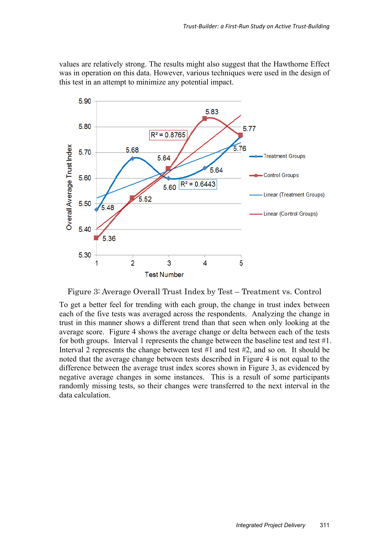values are relatively strong. The results might also suggest that the Hawthorne Effect was in operation on this data. However, various techniques were used in the design of this test in an attempt to minimize any potential impact.



Figure 3: Average Overall Trust Index by Test – Treatment vs. Control

To get a better feel for trending with each group, the change in trust index between each of the five tests was averaged across the respondents. Analyzing the change in trust in this manner shows a different trend than that seen when only looking at the average score. Figure 4 shows the average change or delta between each of the tests for both groups. Interval 1 represents the change between the baseline test and test #1. Interval 2 represents the change between test #1 and test #2, and so on. It should be noted that the average change between tests described in Figure 4 is not equal to the difference between the average trust index scores shown in Figure 3, as evidenced by negative average changes in some instances. This is a result of some participants randomly missing tests, so their changes were transferred to the next interval in the data calculation.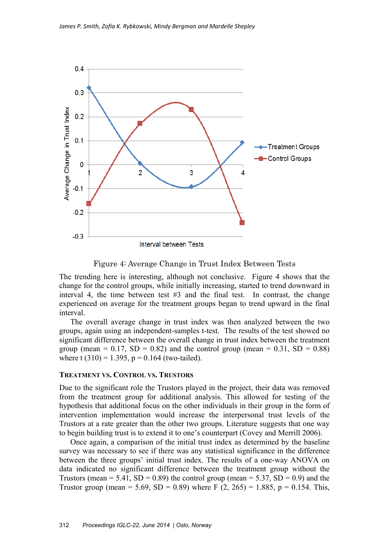

Figure 4: Average Change in Trust Index Between Tests

The trending here is interesting, although not conclusive. Figure 4 shows that the change for the control groups, while initially increasing, started to trend downward in interval 4, the time between test  $#3$  and the final test. In contrast, the change experienced on average for the treatment groups began to trend upward in the final interval.

The overall average change in trust index was then analyzed between the two groups, again using an independent-samples t-test. The results of the test showed no significant difference between the overall change in trust index between the treatment group (mean =  $0.17$ , SD =  $0.82$ ) and the control group (mean =  $0.31$ , SD =  $0.88$ ) where t  $(310) = 1.395$ ,  $p = 0.164$  (two-tailed).

#### **TREATMENT VS. CONTROL VS. TRUSTORS**

Due to the significant role the Trustors played in the project, their data was removed from the treatment group for additional analysis. This allowed for testing of the hypothesis that additional focus on the other individuals in their group in the form of intervention implementation would increase the interpersonal trust levels of the Trustors at a rate greater than the other two groups. Literature suggests that one way to begin building trust is to extend it to one's counterpart (Covey and Merrill 2006).

Once again, a comparison of the initial trust index as determined by the baseline survey was necessary to see if there was any statistical significance in the difference between the three groups' initial trust index. The results of a one-way ANOVA on data indicated no significant difference between the treatment group without the Trustors (mean = 5.41,  $SD = 0.89$ ) the control group (mean = 5.37,  $SD = 0.9$ ) and the Trustor group (mean = 5.69, SD = 0.89) where F (2, 265) = 1.885, p = 0.154. This,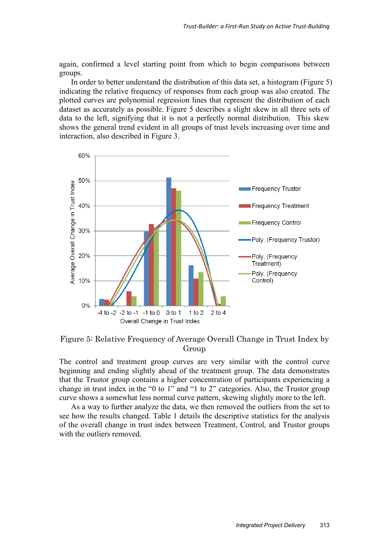again, confirmed a level starting point from which to begin comparisons between groups.

In order to better understand the distribution of this data set, a histogram (Figure 5) indicating the relative frequency of responses from each group was also created. The plotted curves are polynomial regression lines that represent the distribution of each dataset as accurately as possible. Figure 5 describes a slight skew in all three sets of data to the left, signifying that it is not a perfectly normal distribution. This skew shows the general trend evident in all groups of trust levels increasing over time and interaction, also described in Figure 3.



Figure 5: Relative Frequency of Average Overall Change in Trust Index by Group

The control and treatment group curves are very similar with the control curve beginning and ending slightly ahead of the treatment group. The data demonstrates that the Trustor group contains a higher concentration of participants experiencing a change in trust index in the "0 to 1" and "1 to 2" categories. Also, the Trustor group curve shows a somewhat less normal curve pattern, skewing slightly more to the left.

As a way to further analyze the data, we then removed the outliers from the set to see how the results changed. Table 1 details the descriptive statistics for the analysis of the overall change in trust index between Treatment, Control, and Trustor groups with the outliers removed.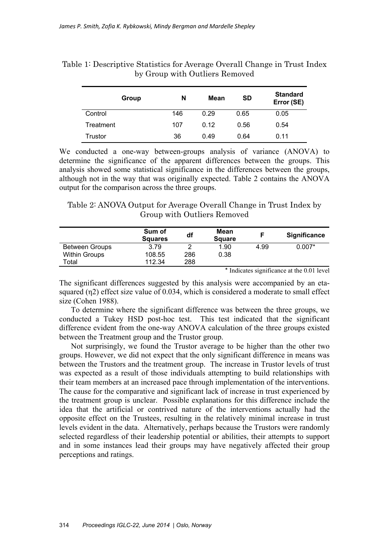| Group     | SD<br>Mean<br>N |      |      | <b>Standard</b><br>Error (SE) |  |  |
|-----------|-----------------|------|------|-------------------------------|--|--|
| Control   | 146             | 0.29 | 0.65 | 0.05                          |  |  |
| Treatment | 107             | 0.12 | 0.56 | 0.54                          |  |  |
| Trustor   | 36              | 0.49 | 0.64 | 0.11                          |  |  |

Table 1: Descriptive Statistics for Average Overall Change in Trust Index by Group with Outliers Removed

We conducted a one-way between-groups analysis of variance (ANOVA) to determine the significance of the apparent differences between the groups. This analysis showed some statistical significance in the differences between the groups, although not in the way that was originally expected. Table 2 contains the ANOVA output for the comparison across the three groups.

Table 2: ANOVA Output for Average Overall Change in Trust Index by Group with Outliers Removed

|                       | Sum of<br><b>Squares</b> | df  | Mean<br><b>Square</b> |      | <b>Significance</b> |
|-----------------------|--------------------------|-----|-----------------------|------|---------------------|
| <b>Between Groups</b> | 3.79                     |     | 1.90                  | 4.99 | $0.007*$            |
| <b>Within Groups</b>  | 108.55                   | 286 | 0.38                  |      |                     |
| Total                 | 112.34                   | 288 |                       |      |                     |

\* Indicates significance at the 0.01 level

The significant differences suggested by this analysis were accompanied by an etasquared (η2) effect size value of 0.034, which is considered a moderate to small effect size (Cohen 1988).

To determine where the significant difference was between the three groups, we conducted a Tukey HSD post-hoc test. This test indicated that the significant difference evident from the one-way ANOVA calculation of the three groups existed between the Treatment group and the Trustor group.

Not surprisingly, we found the Trustor average to be higher than the other two groups. However, we did not expect that the only significant difference in means was between the Trustors and the treatment group. The increase in Trustor levels of trust was expected as a result of those individuals attempting to build relationships with their team members at an increased pace through implementation of the interventions. The cause for the comparative and significant lack of increase in trust experienced by the treatment group is unclear. Possible explanations for this difference include the idea that the artificial or contrived nature of the interventions actually had the opposite effect on the Trustees, resulting in the relatively minimal increase in trust levels evident in the data. Alternatively, perhaps because the Trustors were randomly selected regardless of their leadership potential or abilities, their attempts to support and in some instances lead their groups may have negatively affected their group perceptions and ratings.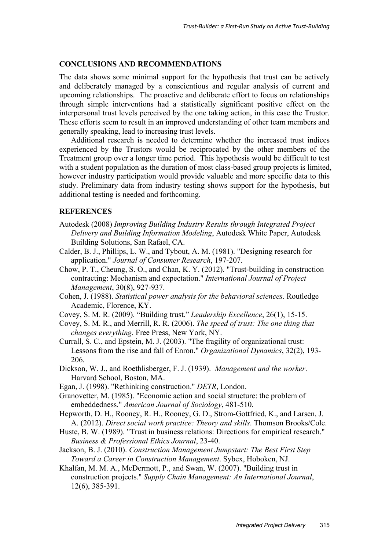#### **CONCLUSIONS AND RECOMMENDATIONS**

The data shows some minimal support for the hypothesis that trust can be actively and deliberately managed by a conscientious and regular analysis of current and upcoming relationships. The proactive and deliberate effort to focus on relationships through simple interventions had a statistically significant positive effect on the interpersonal trust levels perceived by the one taking action, in this case the Trustor. These efforts seem to result in an improved understanding of other team members and generally speaking, lead to increasing trust levels.

Additional research is needed to determine whether the increased trust indices experienced by the Trustors would be reciprocated by the other members of the Treatment group over a longer time period. This hypothesis would be difficult to test with a student population as the duration of most class-based group projects is limited, however industry participation would provide valuable and more specific data to this study. Preliminary data from industry testing shows support for the hypothesis, but additional testing is needed and forthcoming.

#### **REFERENCES**

- Autodesk (2008) *Improving Building Industry Results through Integrated Project Delivery and Building Information Modeling*, Autodesk White Paper, Autodesk Building Solutions, San Rafael, CA.
- Calder, B. J., Phillips, L. W., and Tybout, A. M. (1981). "Designing research for application." *Journal of Consumer Research*, 197-207.
- Chow, P. T., Cheung, S. O., and Chan, K. Y. (2012). "Trust-building in construction contracting: Mechanism and expectation." *International Journal of Project Management*, 30(8), 927-937.
- Cohen, J. (1988). *Statistical power analysis for the behavioral sciences*. Routledge Academic, Florence, KY.
- Covey, S. M. R. (2009). "Building trust." *Leadership Excellence*, 26(1), 15-15.
- Covey, S. M. R., and Merrill, R. R. (2006). *The speed of trust: The one thing that changes everything*. Free Press, New York, NY.
- Currall, S. C., and Epstein, M. J. (2003). "The fragility of organizational trust: Lessons from the rise and fall of Enron." *Organizational Dynamics*, 32(2), 193- 206.
- Dickson, W. J., and Roethlisberger, F. J. (1939). *Management and the worker*. Harvard School, Boston, MA.
- Egan, J. (1998). "Rethinking construction." *DETR*, London.
- Granovetter, M. (1985). "Economic action and social structure: the problem of embeddedness." *American Journal of Sociology*, 481-510.
- Hepworth, D. H., Rooney, R. H., Rooney, G. D., Strom-Gottfried, K., and Larsen, J. A. (2012). *Direct social work practice: Theory and skills*. Thomson Brooks/Cole.
- Huste, B. W. (1989). "Trust in business relations: Directions for empirical research." *Business & Professional Ethics Journal*, 23-40.
- Jackson, B. J. (2010). *Construction Management Jumpstart: The Best First Step Toward a Career in Construction Management*. Sybex, Hoboken, NJ.
- Khalfan, M. M. A., McDermott, P., and Swan, W. (2007). "Building trust in construction projects." *Supply Chain Management: An International Journal*, 12(6), 385-391.